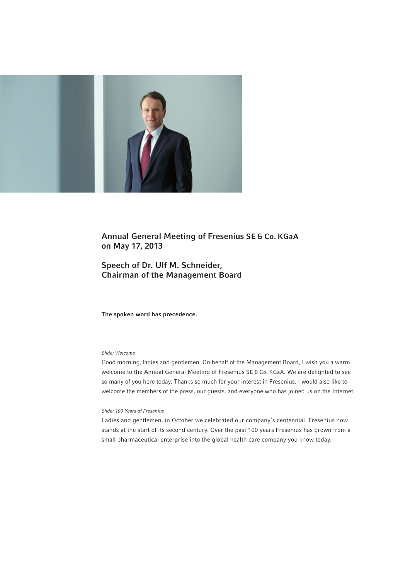

# Annual General Meeting of Fresenius SE & Co. KGaA on May 17, 2013

# Speech of Dr. Ulf M. Schneider, Chairman of the Management Board

The spoken word has precedence.

# *Slide: Welcome*

Good morning, ladies and gentlemen. On behalf of the Management Board, I wish you a warm welcome to the Annual General Meeting of Fresenius SE & Co. KGaA. We are delighted to see so many of you here today. Thanks so much for your interest in Fresenius. I would also like to welcome the members of the press, our guests, and everyone who has joined us on the Internet.

# *Slide: 100 Years of Fresenius*

Ladies and gentlemen, in October we celebrated our company's centennial. Fresenius now stands at the start of its second century. Over the past 100 years Fresenius has grown from a small pharmaceutical enterprise into the global health care company you know today.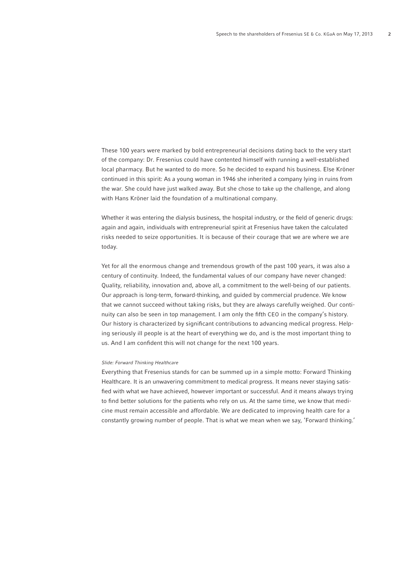These 100 years were marked by bold entrepreneurial decisions dating back to the very start of the company: Dr. Fresenius could have contented himself with running a well-established local pharmacy. But he wanted to do more. So he decided to expand his business. Else Kröner continued in this spirit: As a young woman in 1946 she inherited a company lying in ruins from the war. She could have just walked away. But she chose to take up the challenge, and along with Hans Kröner laid the foundation of a multinational company.

Whether it was entering the dialysis business, the hospital industry, or the field of generic drugs: again and again, individuals with entrepreneurial spirit at Fresenius have taken the calculated risks needed to seize opportunities. It is because of their courage that we are where we are today.

Yet for all the enormous change and tremendous growth of the past 100 years, it was also a century of continuity. Indeed, the fundamental values of our company have never changed: Quality, reliability, innovation and, above all, a commitment to the well-being of our patients. Our approach is long-term, forward-thinking, and guided by commercial prudence. We know that we cannot succeed without taking risks, but they are always carefully weighed. Our continuity can also be seen in top management. I am only the fifth CEO in the company's history. Our history is characterized by significant contributions to advancing medical progress. Helping seriously ill people is at the heart of everything we do, and is the most important thing to us. And I am confident this will not change for the next 100 years.

#### *Slide: Forward Thinking Healthcare*

Everything that Fresenius stands for can be summed up in a simple motto: Forward Thinking Healthcare. It is an unwavering commitment to medical progress. It means never staying satisfied with what we have achieved, however important or successful. And it means always trying to find better solutions for the patients who rely on us. At the same time, we know that medicine must remain accessible and affordable. We are dedicated to improving health care for a constantly growing number of people. That is what we mean when we say, 'Forward thinking.'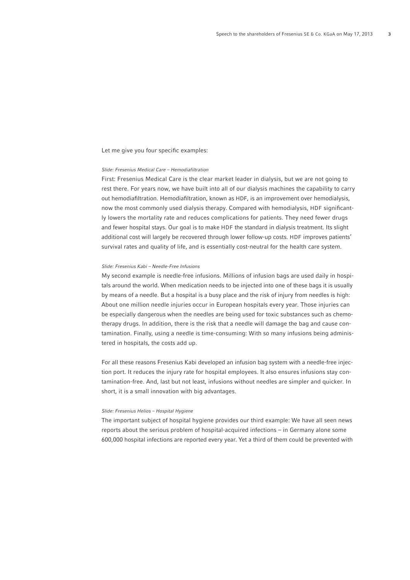Let me give you four specific examples:

# *Slide: Fresenius Medical Care – Hemodiafiltration*

First: Fresenius Medical Care is the clear market leader in dialysis, but we are not going to rest there. For years now, we have built into all of our dialysis machines the capability to carry out hemodiafiltration. Hemodiafiltration, known as HDF, is an improvement over hemodialysis, now the most commonly used dialysis therapy. Compared with hemodialysis, HDF significantly lowers the mortality rate and reduces complications for patients. They need fewer drugs and fewer hospital stays. Our goal is to make HDF the standard in dialysis treatment. Its slight additional cost will largely be recovered through lower follow-up costs. HDF improves patients' survival rates and quality of life, and is essentially cost-neutral for the health care system.

#### *Slide: Fresenius Kabi – Needle-Free Infusions*

My second example is needle-free infusions. Millions of infusion bags are used daily in hospitals around the world. When medication needs to be injected into one of these bags it is usually by means of a needle. But a hospital is a busy place and the risk of injury from needles is high: About one million needle injuries occur in European hospitals every year. Those injuries can be especially dangerous when the needles are being used for toxic substances such as chemotherapy drugs. In addition, there is the risk that a needle will damage the bag and cause contamination. Finally, using a needle is time-consuming: With so many infusions being administered in hospitals, the costs add up.

For all these reasons Fresenius Kabi developed an infusion bag system with a needle-free injection port. It reduces the injury rate for hospital employees. It also ensures infusions stay contamination-free. And, last but not least, infusions without needles are simpler and quicker. In short, it is a small innovation with big advantages.

#### *Slide: Fresenius Helios – Hospital Hygiene*

The important subject of hospital hygiene provides our third example: We have all seen news reports about the serious problem of hospital-acquired infections – in Germany alone some 600,000 hospital infections are reported every year. Yet a third of them could be prevented with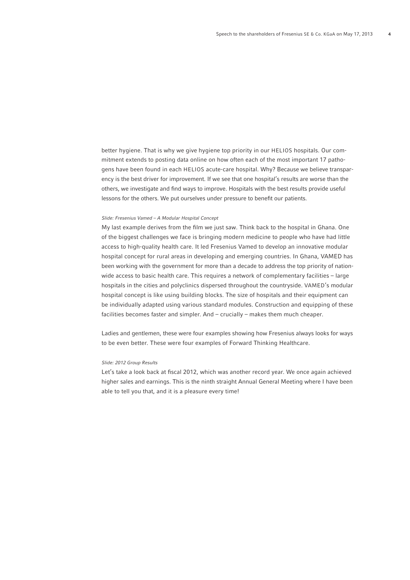better hygiene. That is why we give hygiene top priority in our HELIOS hospitals. Our commitment extends to posting data online on how often each of the most important 17 pathogens have been found in each HELIOS acute-care hospital. Why? Because we believe transparency is the best driver for improvement. If we see that one hospital's results are worse than the others, we investigate and find ways to improve. Hospitals with the best results provide useful lessons for the others. We put ourselves under pressure to benefit our patients.

# *Slide: Fresenius Vamed – A Modular Hospital Concept*

My last example derives from the film we just saw. Think back to the hospital in Ghana. One of the biggest challenges we face is bringing modern medicine to people who have had little access to high-quality health care. It led Fresenius Vamed to develop an innovative modular hospital concept for rural areas in developing and emerging countries. In Ghana, VAMED has been working with the government for more than a decade to address the top priority of nationwide access to basic health care. This requires a network of complementary facilities – large hospitals in the cities and polyclinics dispersed throughout the countryside. VAMED's modular hospital concept is like using building blocks. The size of hospitals and their equipment can be individually adapted using various standard modules. Construction and equipping of these facilities becomes faster and simpler. And – crucially – makes them much cheaper.

Ladies and gentlemen, these were four examples showing how Fresenius always looks for ways to be even better. These were four examples of Forward Thinking Healthcare.

#### *Slide: 2012 Group Results*

Let's take a look back at fiscal 2012, which was another record year. We once again achieved higher sales and earnings. This is the ninth straight Annual General Meeting where I have been able to tell you that, and it is a pleasure every time!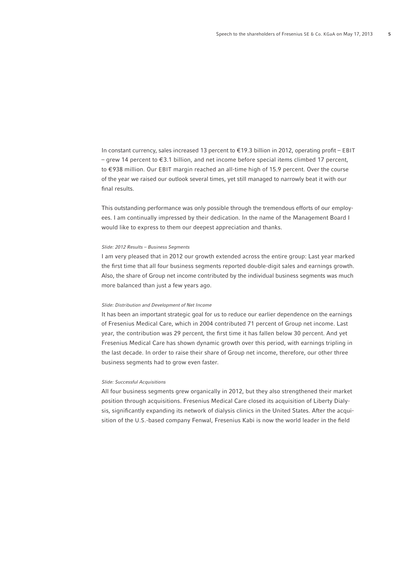In constant currency, sales increased 13 percent to  $\epsilon$ 19.3 billion in 2012, operating profit – EBIT – grew 14 percent to € 3.1 billion, and net income before special items climbed 17 percent, to €938 million. Our EBIT margin reached an all-time high of 15.9 percent. Over the course of the year we raised our outlook several times, yet still managed to narrowly beat it with our final results.

This outstanding performance was only possible through the tremendous efforts of our employees. I am continually impressed by their dedication. In the name of the Management Board I would like to express to them our deepest appreciation and thanks.

# *Slide: 2012 Results – Business Segments*

I am very pleased that in 2012 our growth extended across the entire group: Last year marked the first time that all four business segments reported double-digit sales and earnings growth. Also, the share of Group net income contributed by the individual business segments was much more balanced than just a few years ago.

#### *Slide: Distribution and Development of Net Income*

It has been an important strategic goal for us to reduce our earlier dependence on the earnings of Fresenius Medical Care, which in 2004 contributed 71 percent of Group net income. Last year, the contribution was 29 percent, the first time it has fallen below 30 percent. And yet Fresenius Medical Care has shown dynamic growth over this period, with earnings tripling in the last decade. In order to raise their share of Group net income, therefore, our other three business segments had to grow even faster.

### *Slide: Successful Acquisitions*

All four business segments grew organically in 2012, but they also strengthened their market position through acquisitions. Fresenius Medical Care closed its acquisition of Liberty Dialysis, significantly expanding its network of dialysis clinics in the United States. After the acquisition of the U.S.-based company Fenwal, Fresenius Kabi is now the world leader in the field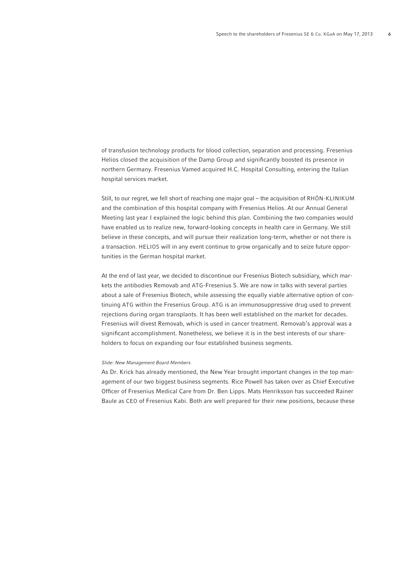of transfusion technology products for blood collection, separation and processing. Fresenius Helios closed the acquisition of the Damp Group and significantly boosted its presence in northern Germany. Fresenius Vamed acquired H.C. Hospital Consulting, entering the Italian hospital services market.

Still, to our regret, we fell short of reaching one major goal – the acquisition of RHÖN-KLINIKUM and the combination of this hospital company with Fresenius Helios. At our Annual General Meeting last year I explained the logic behind this plan. Combining the two companies would have enabled us to realize new, forward-looking concepts in health care in Germany. We still believe in these concepts, and will pursue their realization long-term, whether or not there is a transaction. HELIOS will in any event continue to grow organically and to seize future opportunities in the German hospital market.

At the end of last year, we decided to discontinue our Fresenius Biotech subsidiary, which markets the antibodies Removab and ATG-Fresenius S. We are now in talks with several parties about a sale of Fresenius Biotech, while assessing the equally viable alternative option of continuing ATG within the Fresenius Group. ATG is an immunosuppressive drug used to prevent rejections during organ transplants. It has been well established on the market for decades. Fresenius will divest Removab, which is used in cancer treatment. Removab's approval was a significant accomplishment. Nonetheless, we believe it is in the best interests of our shareholders to focus on expanding our four established business segments.

#### *Slide: New Management Board Members*

As Dr. Krick has already mentioned, the New Year brought important changes in the top management of our two biggest business segments. Rice Powell has taken over as Chief Executive Officer of Fresenius Medical Care from Dr. Ben Lipps. Mats Henriksson has succeeded Rainer Baule as CEO of Fresenius Kabi. Both are well prepared for their new positions, because these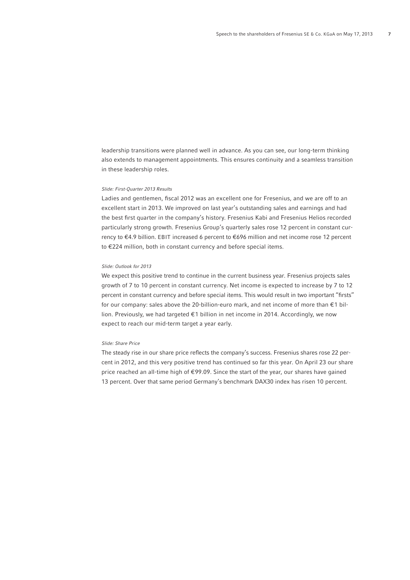leadership transitions were planned well in advance. As you can see, our long-term thinking also extends to management appointments. This ensures continuity and a seamless transition in these leadership roles.

#### *Slide: First-Quarter 2013 Results*

Ladies and gentlemen, fiscal 2012 was an excellent one for Fresenius, and we are off to an excellent start in 2013. We improved on last year's outstanding sales and earnings and had the best first quarter in the company's history. Fresenius Kabi and Fresenius Helios recorded particularly strong growth. Fresenius Group's quarterly sales rose 12 percent in constant currency to €4.9 billion. EBIT increased 6 percent to €696 million and net income rose 12 percent to €224 million, both in constant currency and before special items.

### *Slide: Outlook for 2013*

We expect this positive trend to continue in the current business year. Fresenius projects sales growth of 7 to 10 percent in constant currency. Net income is expected to increase by 7 to 12 percent in constant currency and before special items. This would result in two important "firsts" for our company: sales above the 20-billion-euro mark, and net income of more than  $\epsilon$ 1 billion. Previously, we had targeted € 1 billion in net income in 2014. Accordingly, we now expect to reach our mid-term target a year early.

# *Slide: Share Price*

The steady rise in our share price reflects the company's success. Fresenius shares rose 22 percent in 2012, and this very positive trend has continued so far this year. On April 23 our share price reached an all-time high of €99.09. Since the start of the year, our shares have gained 13 percent. Over that same period Germany's benchmark DAX30 index has risen 10 percent.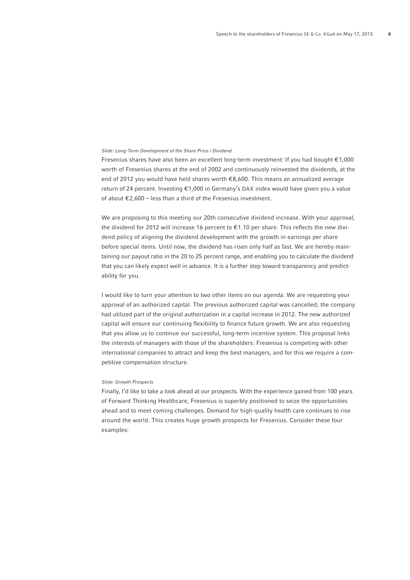# *Slide: Long-Term Development of the Share Price / Dividend*

Fresenius shares have also been an excellent long-term investment: If you had bought € 1,000 worth of Fresenius shares at the end of 2002 and continuously reinvested the dividends, at the end of 2012 you would have held shares worth € 8,600. This means an annualized average return of 24 percent. Investing €1,000 in Germany's DAX index would have given you a value of about  $\epsilon$ 2.600 – less than a third of the Fresenius investment.

We are proposing to this meeting our 20th consecutive dividend increase. With your approval, the dividend for 2012 will increase 16 percent to  $\epsilon$ 1.10 per share. This reflects the new dividend policy of aligning the dividend development with the growth in earnings per share before special items. Until now, the dividend has risen only half as fast. We are hereby maintaining our payout ratio in the 20 to 25 percent range, and enabling you to calculate the dividend that you can likely expect well in advance. It is a further step toward transparency and predictability for you.

I would like to turn your attention to two other items on our agenda. We are requesting your approval of an authorized capital. The previous authorized capital was cancelled; the company had utilized part of the original authorization in a capital increase in 2012. The new authorized capital will ensure our continuing flexibility to finance future growth. We are also requesting that you allow us to continue our successful, long-term incentive system. This proposal links the interests of managers with those of the shareholders: Fresenius is competing with other international companies to attract and keep the best managers, and for this we require a competitive compensation structure.

### *Slide: Growth Prospects*

Finally, I'd like to take a look ahead at our prospects. With the experience gained from 100 years of Forward Thinking Healthcare, Fresenius is superbly positioned to seize the opportunities ahead and to meet coming challenges. Demand for high-quality health care continues to rise around the world. This creates huge growth prospects for Fresenius. Consider these four examples: